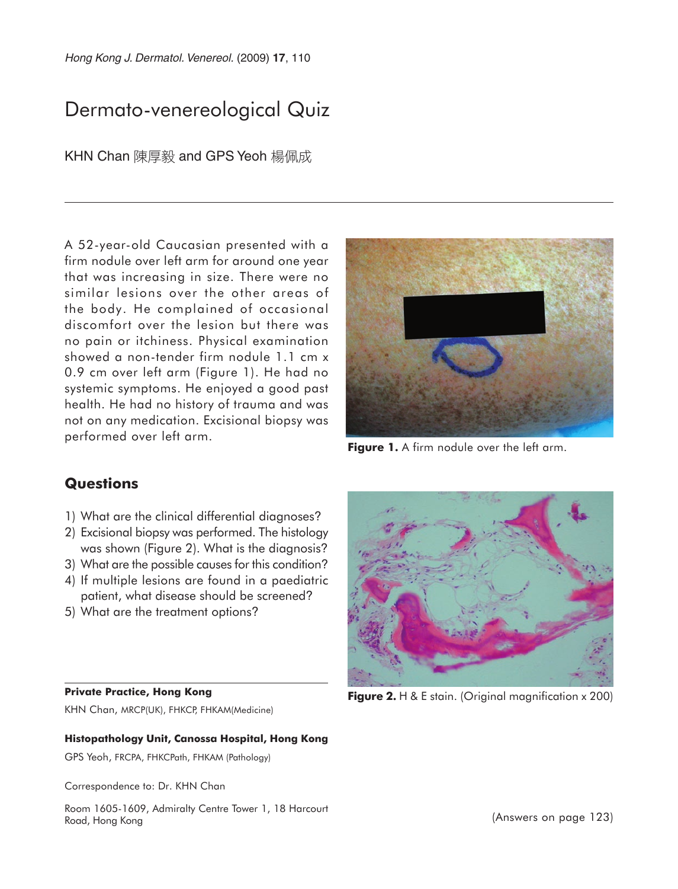Hong Kong J. Dermatol. Venereol. (2009) **17**, 110

# Dermato-venereological Quiz

KHN Chan 陳厚毅 and GPS Yeoh 楊佩成

A 52-year-old Caucasian presented with a firm nodule over left arm for around one year that was increasing in size. There were no similar lesions over the other areas of the body. He complained of occasional discomfort over the lesion but there was no pain or itchiness. Physical examination showed a non-tender firm nodule 1.1 cm x 0.9 cm over left arm (Figure 1). He had no systemic symptoms. He enjoyed a good past health. He had no history of trauma and was not on any medication. Excisional biopsy was performed over left arm.



**Figure 1.** A firm nodule over the left arm.

### **Questions**

- 1) What are the clinical differential diagnoses?
- 2) Excisional biopsy was performed. The histology was shown (Figure 2). What is the diagnosis?
- 3) What are the possible causes for this condition?
- 4) If multiple lesions are found in a paediatric patient, what disease should be screened?
- 5) What are the treatment options?

#### **Private Practice, Hong Kong**

KHN Chan, MRCP(UK), FHKCP, FHKAM(Medicine)

#### **Histopathology Unit, Canossa Hospital, Hong Kong**

GPS Yeoh, FRCPA, FHKCPath, FHKAM (Pathology)

Correspondence to: Dr. KHN Chan

Room 1605-1609, Admiralty Centre Tower 1, 18 Harcourt Road, Hong Kong



**Figure 2.** H & E stain. (Original magnification x 200)